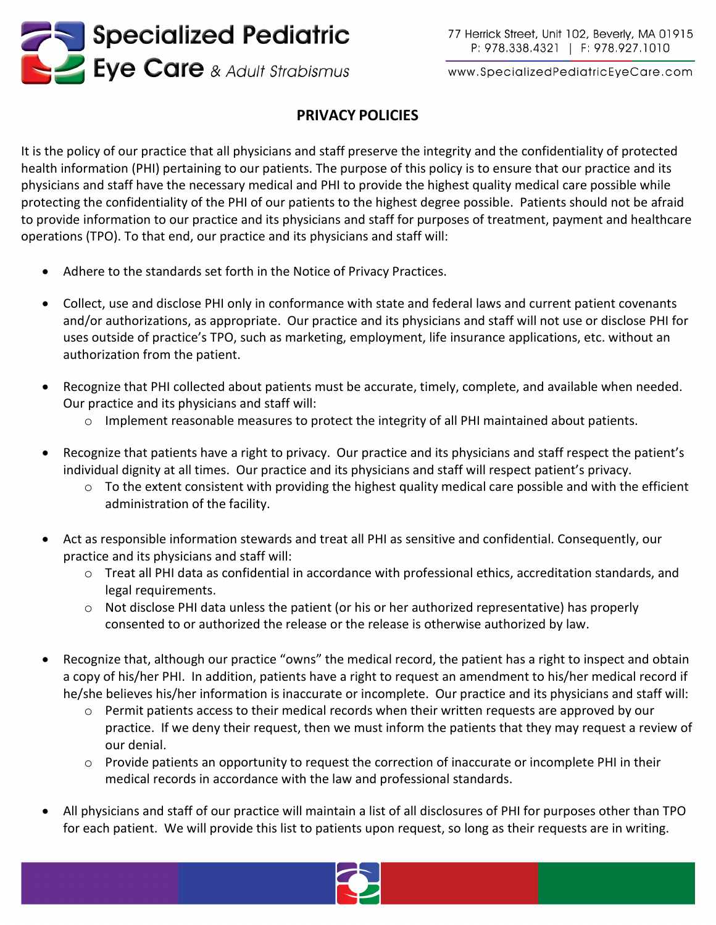

www.SpecializedPediatricEyeCare.com

## **PRIVACY POLICIES**

It is the policy of our practice that all physicians and staff preserve the integrity and the confidentiality of protected health information (PHI) pertaining to our patients. The purpose of this policy is to ensure that our practice and its physicians and staff have the necessary medical and PHI to provide the highest quality medical care possible while protecting the confidentiality of the PHI of our patients to the highest degree possible. Patients should not be afraid to provide information to our practice and its physicians and staff for purposes of treatment, payment and healthcare operations (TPO). To that end, our practice and its physicians and staff will:

- Adhere to the standards set forth in the Notice of Privacy Practices.
- Collect, use and disclose PHI only in conformance with state and federal laws and current patient covenants and/or authorizations, as appropriate. Our practice and its physicians and staff will not use or disclose PHI for uses outside of practice's TPO, such as marketing, employment, life insurance applications, etc. without an authorization from the patient.
- Recognize that PHI collected about patients must be accurate, timely, complete, and available when needed. Our practice and its physicians and staff will:
	- o Implement reasonable measures to protect the integrity of all PHI maintained about patients.
- Recognize that patients have a right to privacy. Our practice and its physicians and staff respect the patient's individual dignity at all times. Our practice and its physicians and staff will respect patient's privacy.
	- $\circ$  To the extent consistent with providing the highest quality medical care possible and with the efficient administration of the facility.
- Act as responsible information stewards and treat all PHI as sensitive and confidential. Consequently, our practice and its physicians and staff will:
	- o Treat all PHI data as confidential in accordance with professional ethics, accreditation standards, and legal requirements.
	- o Not disclose PHI data unless the patient (or his or her authorized representative) has properly consented to or authorized the release or the release is otherwise authorized by law.
- Recognize that, although our practice "owns" the medical record, the patient has a right to inspect and obtain a copy of his/her PHI. In addition, patients have a right to request an amendment to his/her medical record if he/she believes his/her information is inaccurate or incomplete. Our practice and its physicians and staff will:
	- $\circ$  Permit patients access to their medical records when their written requests are approved by our practice. If we deny their request, then we must inform the patients that they may request a review of our denial.
	- o Provide patients an opportunity to request the correction of inaccurate or incomplete PHI in their medical records in accordance with the law and professional standards.
- All physicians and staff of our practice will maintain a list of all disclosures of PHI for purposes other than TPO for each patient. We will provide this list to patients upon request, so long as their requests are in writing.